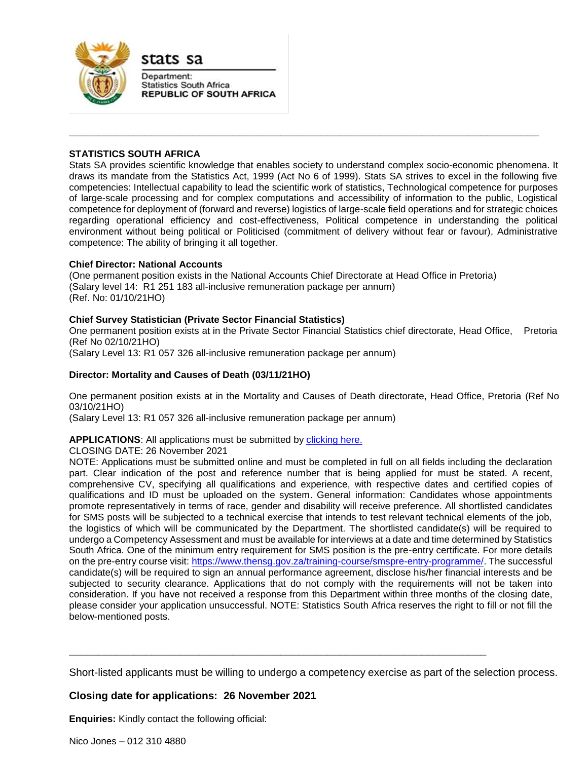

stats sa

Department: **Statistics South Africa REPUBLIC OF SOUTH AFRICA** 

# **STATISTICS SOUTH AFRICA**

Stats SA provides scientific knowledge that enables society to understand complex socio-economic phenomena. It draws its mandate from the Statistics Act, 1999 (Act No 6 of 1999). Stats SA strives to excel in the following five competencies: Intellectual capability to lead the scientific work of statistics, Technological competence for purposes of large-scale processing and for complex computations and accessibility of information to the public, Logistical competence for deployment of (forward and reverse) logistics of large-scale field operations and for strategic choices regarding operational efficiency and cost-effectiveness, Political competence in understanding the political environment without being political or Politicised (commitment of delivery without fear or favour), Administrative competence: The ability of bringing it all together.

**\_\_\_\_\_\_\_\_\_\_\_\_\_\_\_\_\_\_\_\_\_\_\_\_\_\_\_\_\_\_\_\_\_\_\_\_\_\_\_\_\_\_\_\_\_\_\_\_\_\_\_\_\_\_\_\_\_\_\_\_\_\_\_\_\_\_\_\_\_\_\_\_\_\_\_\_\_\_\_\_**

## **Chief Director: National Accounts**

(One permanent position exists in the National Accounts Chief Directorate at Head Office in Pretoria) (Salary level 14: R1 251 183 all-inclusive remuneration package per annum) (Ref. No: 01/10/21HO)

# **Chief Survey Statistician (Private Sector Financial Statistics)**

One permanent position exists at in the Private Sector Financial Statistics chief directorate, Head Office, Pretoria (Ref No 02/10/21HO)

(Salary Level 13: R1 057 326 all-inclusive remuneration package per annum)

## **Director: Mortality and Causes of Death (03/11/21HO)**

One permanent position exists at in the Mortality and Causes of Death directorate, Head Office, Pretoria (Ref No 03/10/21HO)

(Salary Level 13: R1 057 326 all-inclusive remuneration package per annum)

## **APPLICATIONS**: All applications must be submitted by [clicking here.](https://apps.statssa.gov.za/erecruitment/#/browseJobs)

CLOSING DATE: 26 November 2021

NOTE: Applications must be submitted online and must be completed in full on all fields including the declaration part. Clear indication of the post and reference number that is being applied for must be stated. A recent, comprehensive CV, specifying all qualifications and experience, with respective dates and certified copies of qualifications and ID must be uploaded on the system. General information: Candidates whose appointments promote representatively in terms of race, gender and disability will receive preference. All shortlisted candidates for SMS posts will be subjected to a technical exercise that intends to test relevant technical elements of the job, the logistics of which will be communicated by the Department. The shortlisted candidate(s) will be required to undergo a Competency Assessment and must be available for interviews at a date and time determined by Statistics South Africa. One of the minimum entry requirement for SMS position is the pre-entry certificate. For more details on the pre-entry course visit[: https://www.thensg.gov.za/training-course/smspre-entry-programme/.](https://www.thensg.gov.za/training-course/smspre-entry-programme/) The successful candidate(s) will be required to sign an annual performance agreement, disclose his/her financial interests and be subjected to security clearance. Applications that do not comply with the requirements will not be taken into consideration. If you have not received a response from this Department within three months of the closing date, please consider your application unsuccessful. NOTE: Statistics South Africa reserves the right to fill or not fill the below-mentioned posts.

Short-listed applicants must be willing to undergo a competency exercise as part of the selection process.

**\_\_\_\_\_\_\_\_\_\_\_\_\_\_\_\_\_\_\_\_\_\_\_\_\_\_\_\_\_\_\_\_\_\_\_\_\_\_\_\_\_\_\_\_\_\_\_\_\_\_\_\_\_\_\_\_\_\_\_\_\_\_\_\_\_\_\_\_\_\_\_**

# **Closing date for applications: 26 November 2021**

**Enquiries:** Kindly contact the following official: